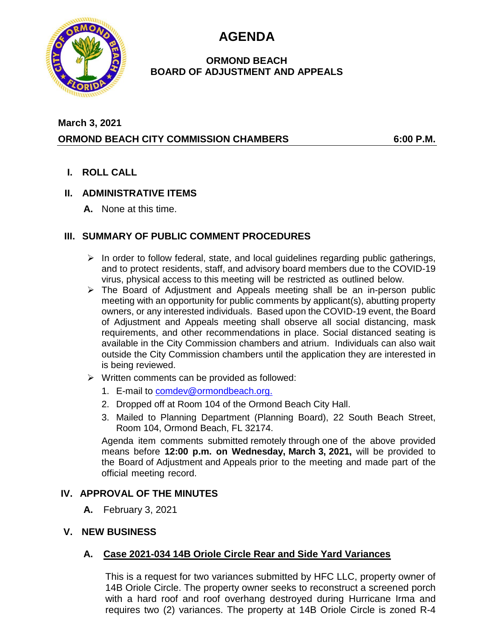**AGENDA**



#### **ORMOND BEACH BOARD OF ADJUSTMENT AND APPEALS**

# **March 3, 2021 ORMOND BEACH CITY COMMISSION CHAMBERS 6:00 P.M.**

**I. ROLL CALL**

## **II. ADMINISTRATIVE ITEMS**

**A.** None at this time.

## **III. SUMMARY OF PUBLIC COMMENT PROCEDURES**

- $\triangleright$  In order to follow federal, state, and local guidelines regarding public gatherings, and to protect residents, staff, and advisory board members due to the COVID-19 virus, physical access to this meeting will be restricted as outlined below.
- $\triangleright$  The Board of Adjustment and Appeals meeting shall be an in-person public meeting with an opportunity for public comments by applicant(s), abutting property owners, or any interested individuals. Based upon the COVID-19 event, the Board of Adjustment and Appeals meeting shall observe all social distancing, mask requirements, and other recommendations in place. Social distanced seating is available in the City Commission chambers and atrium. Individuals can also wait outside the City Commission chambers until the application they are interested in is being reviewed.
- ➢ Written comments can be provided as followed:
	- 1. E-mail to [comdev@ormondbeach.org.](mailto:comdev@ormondbeach.org)
	- 2. Dropped off at Room 104 of the Ormond Beach City Hall.
	- 3. Mailed to Planning Department (Planning Board), 22 South Beach Street, Room 104, Ormond Beach, FL 32174.

Agenda item comments submitted remotely through one of the above provided means before **12:00 p.m. on Wednesday, March 3, 2021,** will be provided to the Board of Adjustment and Appeals prior to the meeting and made part of the official meeting record.

## **IV. APPROVAL OF THE MINUTES**

- **A.** February 3, 2021
- **V. NEW BUSINESS**

## **A. Case 2021-034 14B Oriole Circle Rear and Side Yard Variances**

This is a request for two variances submitted by HFC LLC, property owner of 14B Oriole Circle. The property owner seeks to reconstruct a screened porch with a hard roof and roof overhang destroyed during Hurricane Irma and requires two (2) variances. The property at 14B Oriole Circle is zoned R-4